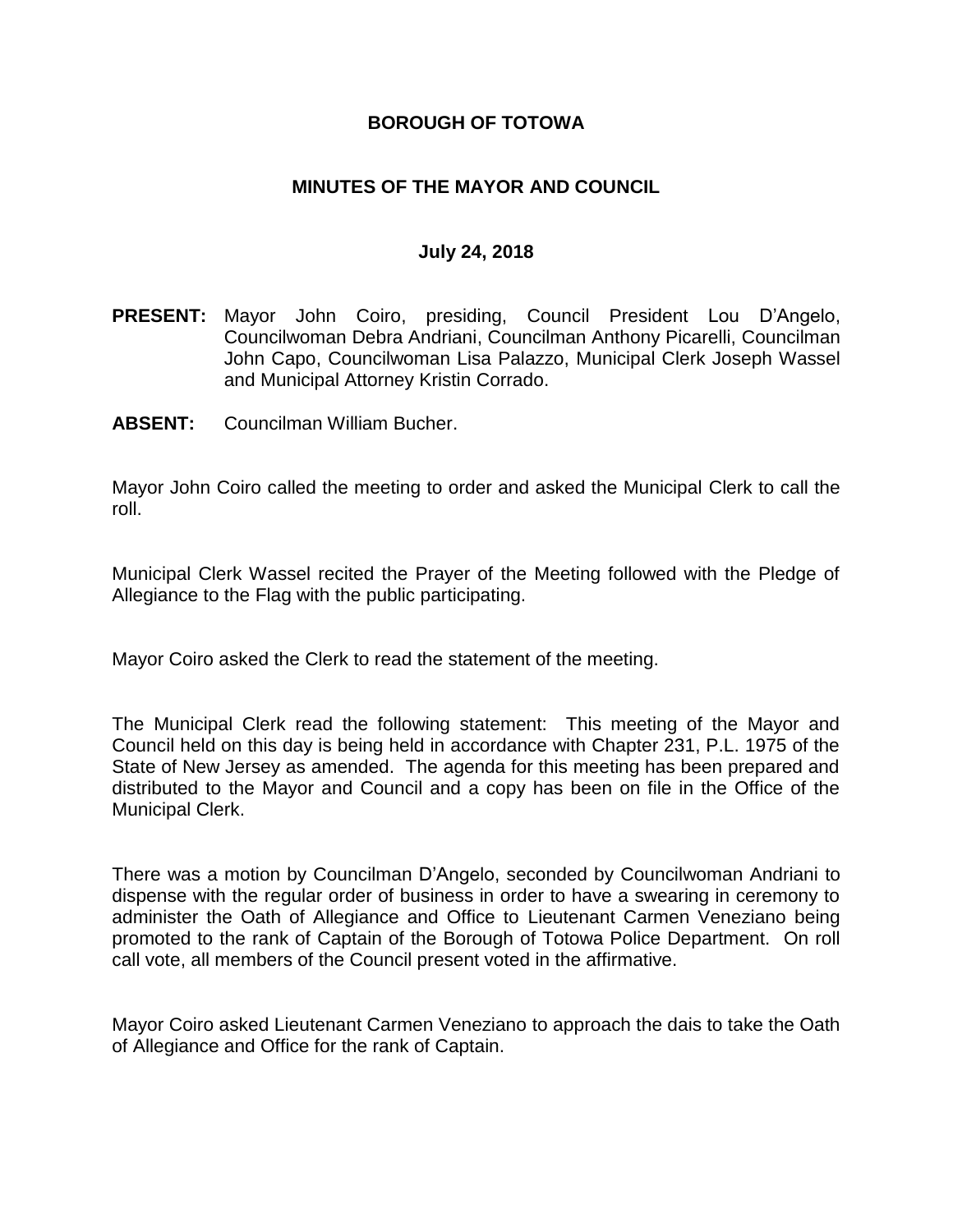### **BOROUGH OF TOTOWA**

## **MINUTES OF THE MAYOR AND COUNCIL**

#### **July 24, 2018**

- **PRESENT:** Mayor John Coiro, presiding, Council President Lou D'Angelo, Councilwoman Debra Andriani, Councilman Anthony Picarelli, Councilman John Capo, Councilwoman Lisa Palazzo, Municipal Clerk Joseph Wassel and Municipal Attorney Kristin Corrado.
- **ABSENT:** Councilman William Bucher.

Mayor John Coiro called the meeting to order and asked the Municipal Clerk to call the roll.

Municipal Clerk Wassel recited the Prayer of the Meeting followed with the Pledge of Allegiance to the Flag with the public participating.

Mayor Coiro asked the Clerk to read the statement of the meeting.

The Municipal Clerk read the following statement: This meeting of the Mayor and Council held on this day is being held in accordance with Chapter 231, P.L. 1975 of the State of New Jersey as amended. The agenda for this meeting has been prepared and distributed to the Mayor and Council and a copy has been on file in the Office of the Municipal Clerk.

There was a motion by Councilman D'Angelo, seconded by Councilwoman Andriani to dispense with the regular order of business in order to have a swearing in ceremony to administer the Oath of Allegiance and Office to Lieutenant Carmen Veneziano being promoted to the rank of Captain of the Borough of Totowa Police Department. On roll call vote, all members of the Council present voted in the affirmative.

Mayor Coiro asked Lieutenant Carmen Veneziano to approach the dais to take the Oath of Allegiance and Office for the rank of Captain.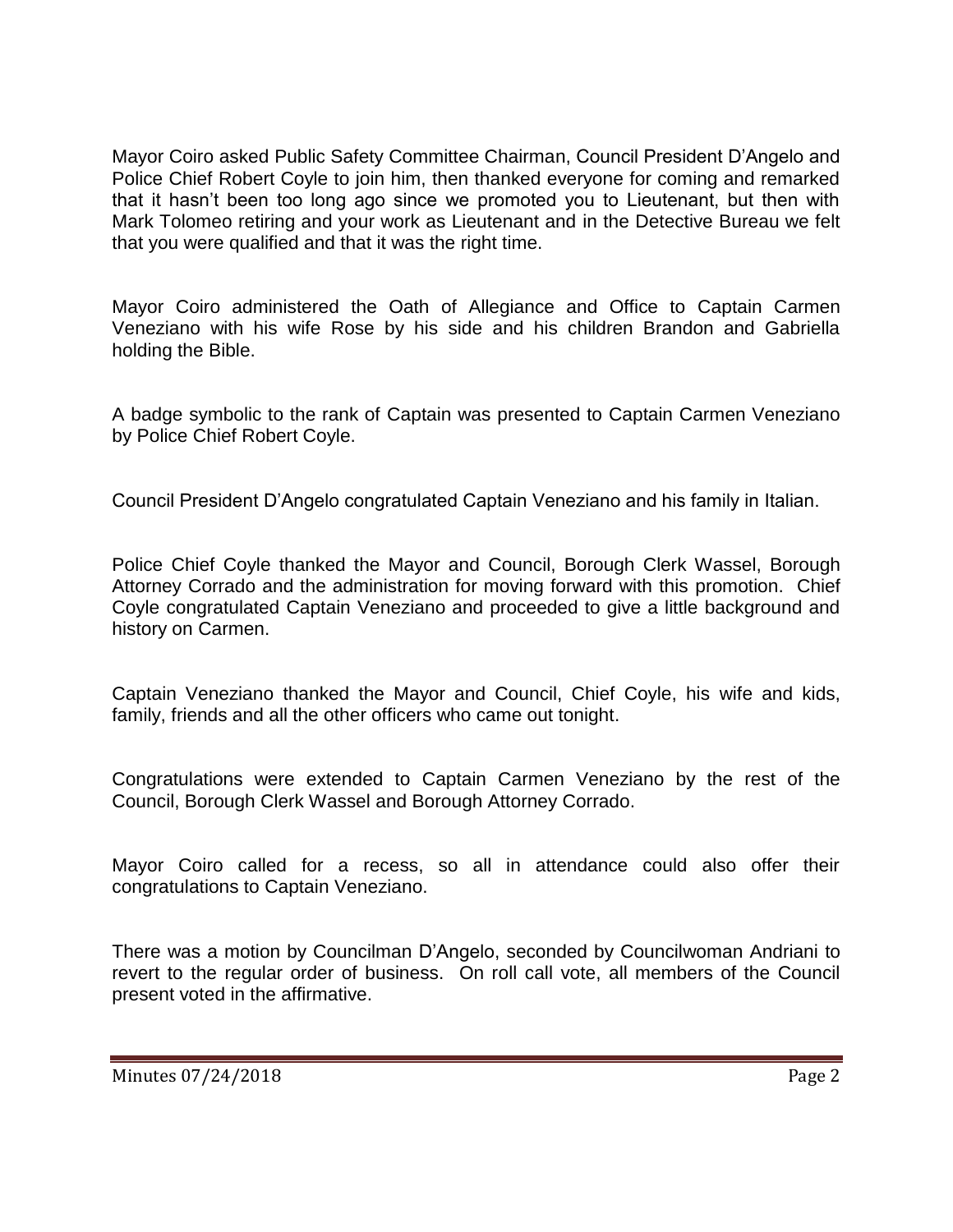Mayor Coiro asked Public Safety Committee Chairman, Council President D'Angelo and Police Chief Robert Coyle to join him, then thanked everyone for coming and remarked that it hasn't been too long ago since we promoted you to Lieutenant, but then with Mark Tolomeo retiring and your work as Lieutenant and in the Detective Bureau we felt that you were qualified and that it was the right time.

Mayor Coiro administered the Oath of Allegiance and Office to Captain Carmen Veneziano with his wife Rose by his side and his children Brandon and Gabriella holding the Bible.

A badge symbolic to the rank of Captain was presented to Captain Carmen Veneziano by Police Chief Robert Coyle.

Council President D'Angelo congratulated Captain Veneziano and his family in Italian.

Police Chief Coyle thanked the Mayor and Council, Borough Clerk Wassel, Borough Attorney Corrado and the administration for moving forward with this promotion. Chief Coyle congratulated Captain Veneziano and proceeded to give a little background and history on Carmen.

Captain Veneziano thanked the Mayor and Council, Chief Coyle, his wife and kids, family, friends and all the other officers who came out tonight.

Congratulations were extended to Captain Carmen Veneziano by the rest of the Council, Borough Clerk Wassel and Borough Attorney Corrado.

Mayor Coiro called for a recess, so all in attendance could also offer their congratulations to Captain Veneziano.

There was a motion by Councilman D'Angelo, seconded by Councilwoman Andriani to revert to the regular order of business. On roll call vote, all members of the Council present voted in the affirmative.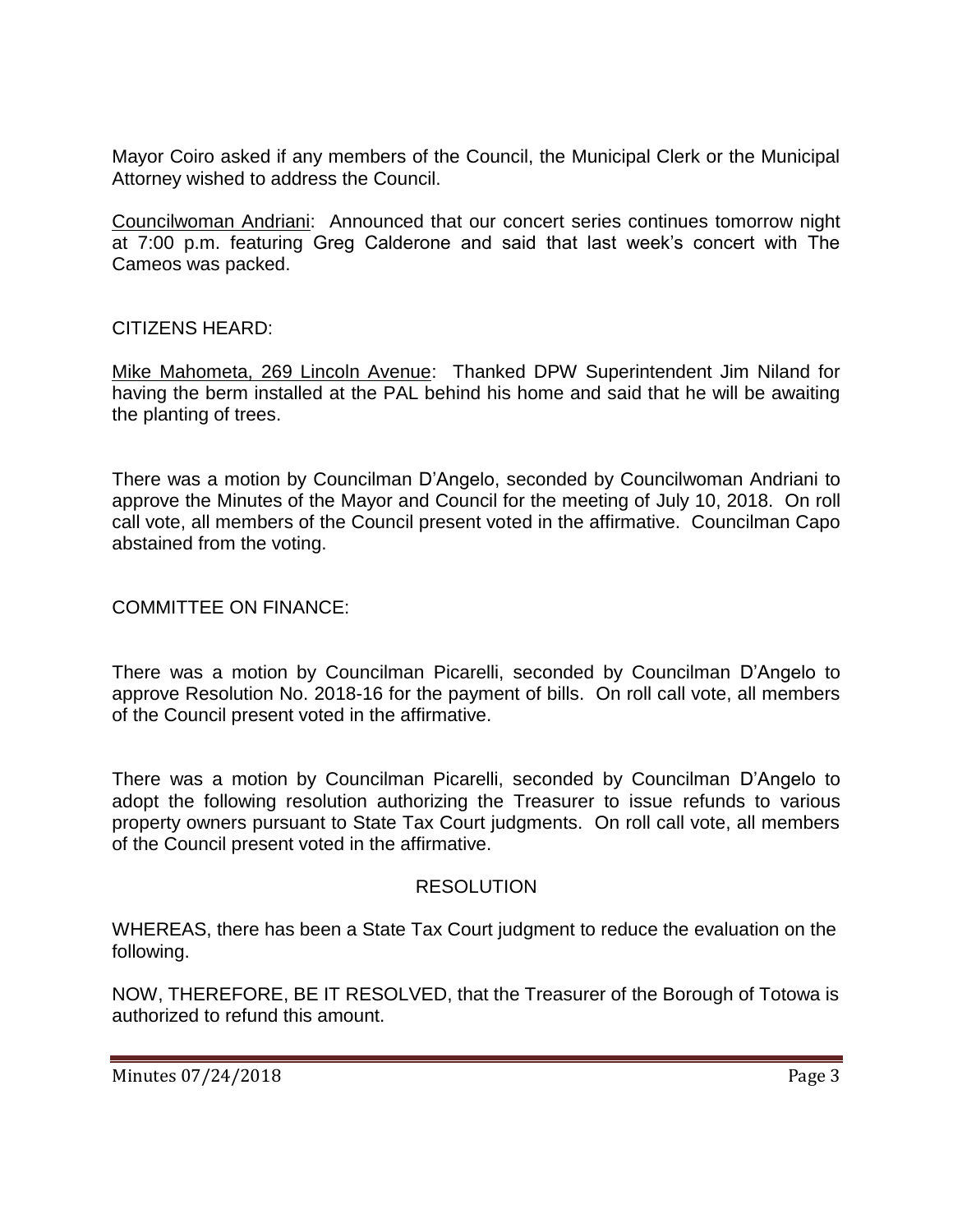Mayor Coiro asked if any members of the Council, the Municipal Clerk or the Municipal Attorney wished to address the Council.

Councilwoman Andriani: Announced that our concert series continues tomorrow night at 7:00 p.m. featuring Greg Calderone and said that last week's concert with The Cameos was packed.

## CITIZENS HEARD:

Mike Mahometa, 269 Lincoln Avenue: Thanked DPW Superintendent Jim Niland for having the berm installed at the PAL behind his home and said that he will be awaiting the planting of trees.

There was a motion by Councilman D'Angelo, seconded by Councilwoman Andriani to approve the Minutes of the Mayor and Council for the meeting of July 10, 2018. On roll call vote, all members of the Council present voted in the affirmative. Councilman Capo abstained from the voting.

## COMMITTEE ON FINANCE:

There was a motion by Councilman Picarelli, seconded by Councilman D'Angelo to approve Resolution No. 2018-16 for the payment of bills. On roll call vote, all members of the Council present voted in the affirmative.

There was a motion by Councilman Picarelli, seconded by Councilman D'Angelo to adopt the following resolution authorizing the Treasurer to issue refunds to various property owners pursuant to State Tax Court judgments. On roll call vote, all members of the Council present voted in the affirmative.

### RESOLUTION

WHEREAS, there has been a State Tax Court judgment to reduce the evaluation on the following.

NOW, THEREFORE, BE IT RESOLVED, that the Treasurer of the Borough of Totowa is authorized to refund this amount.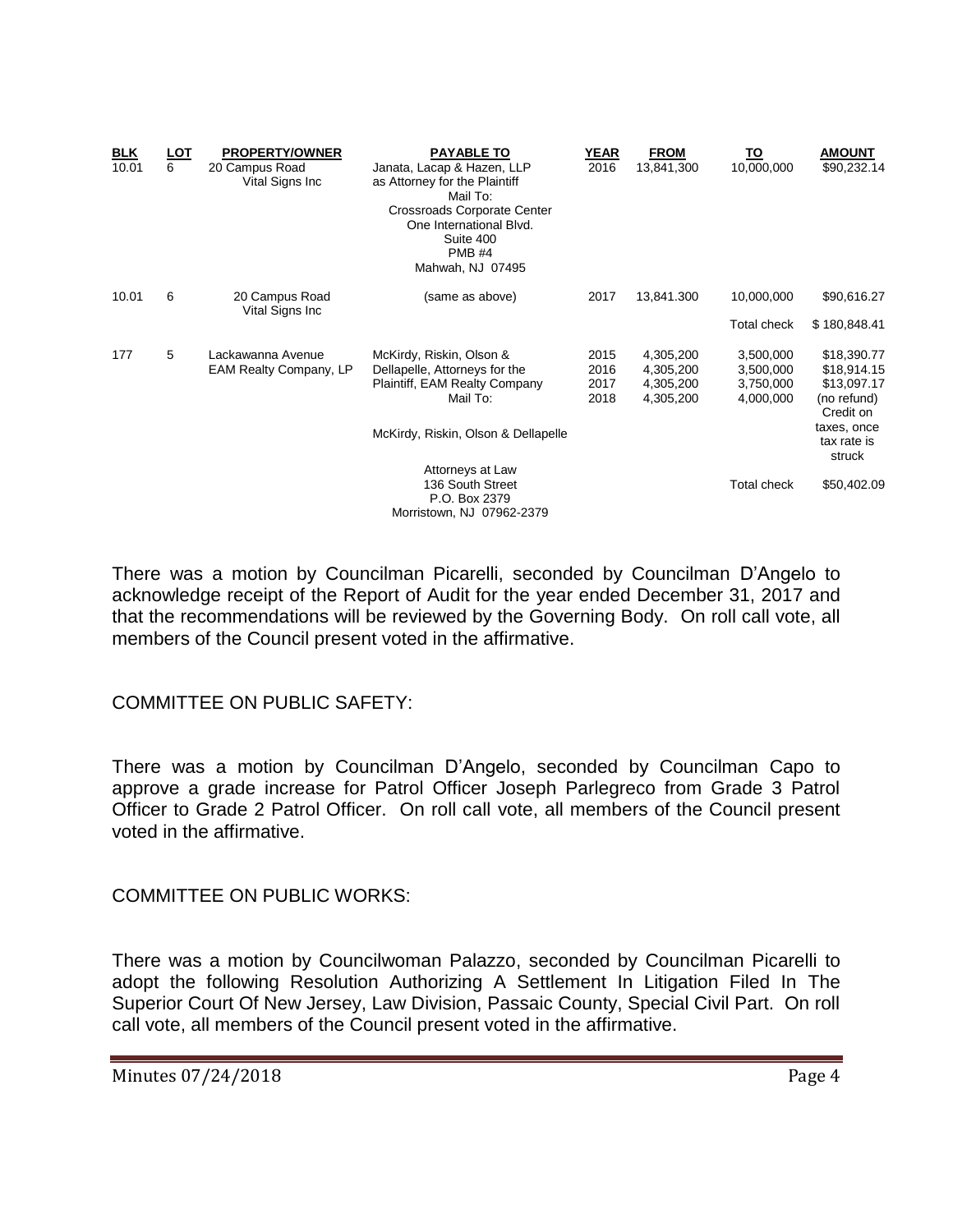| <b>BLK</b><br>10.01 | <u>LOT</u><br>6 | <b>PROPERTY/OWNER</b><br>20 Campus Road<br>Vital Signs Inc | <b>PAYABLE TO</b><br>Janata, Lacap & Hazen, LLP<br>as Attorney for the Plaintiff<br>Mail To:<br>Crossroads Corporate Center<br>One International Blvd.<br>Suite 400<br><b>PMB #4</b><br>Mahwah, NJ 07495 | <b>YEAR</b><br>2016          | <b>FROM</b><br>13,841,300                        | <u>TO</u><br>10,000,000                          | <b>AMOUNT</b><br>\$90,232.14                                                                        |
|---------------------|-----------------|------------------------------------------------------------|----------------------------------------------------------------------------------------------------------------------------------------------------------------------------------------------------------|------------------------------|--------------------------------------------------|--------------------------------------------------|-----------------------------------------------------------------------------------------------------|
| 10.01               | 6               | 20 Campus Road<br>Vital Signs Inc                          | (same as above)                                                                                                                                                                                          | 2017                         | 13,841.300                                       | 10,000,000                                       | \$90,616.27                                                                                         |
|                     |                 |                                                            |                                                                                                                                                                                                          |                              |                                                  | Total check                                      | \$180,848.41                                                                                        |
| 177                 | 5               | Lackawanna Avenue<br><b>EAM Realty Company, LP</b>         | McKirdy, Riskin, Olson &<br>Dellapelle, Attorneys for the<br>Plaintiff, EAM Realty Company<br>Mail To:<br>McKirdy, Riskin, Olson & Dellapelle                                                            | 2015<br>2016<br>2017<br>2018 | 4,305,200<br>4,305,200<br>4,305,200<br>4,305,200 | 3,500,000<br>3,500,000<br>3,750,000<br>4,000,000 | \$18,390.77<br>\$18,914.15<br>\$13,097.17<br>(no refund)<br>Credit on<br>taxes, once<br>tax rate is |
|                     |                 |                                                            | Attorneys at Law<br>136 South Street<br>P.O. Box 2379<br>Morristown, NJ 07962-2379                                                                                                                       |                              |                                                  | Total check                                      | struck<br>\$50,402.09                                                                               |

There was a motion by Councilman Picarelli, seconded by Councilman D'Angelo to acknowledge receipt of the Report of Audit for the year ended December 31, 2017 and that the recommendations will be reviewed by the Governing Body. On roll call vote, all members of the Council present voted in the affirmative.

### COMMITTEE ON PUBLIC SAFETY:

There was a motion by Councilman D'Angelo, seconded by Councilman Capo to approve a grade increase for Patrol Officer Joseph Parlegreco from Grade 3 Patrol Officer to Grade 2 Patrol Officer. On roll call vote, all members of the Council present voted in the affirmative.

COMMITTEE ON PUBLIC WORKS:

There was a motion by Councilwoman Palazzo, seconded by Councilman Picarelli to adopt the following Resolution Authorizing A Settlement In Litigation Filed In The Superior Court Of New Jersey, Law Division, Passaic County, Special Civil Part. On roll call vote, all members of the Council present voted in the affirmative.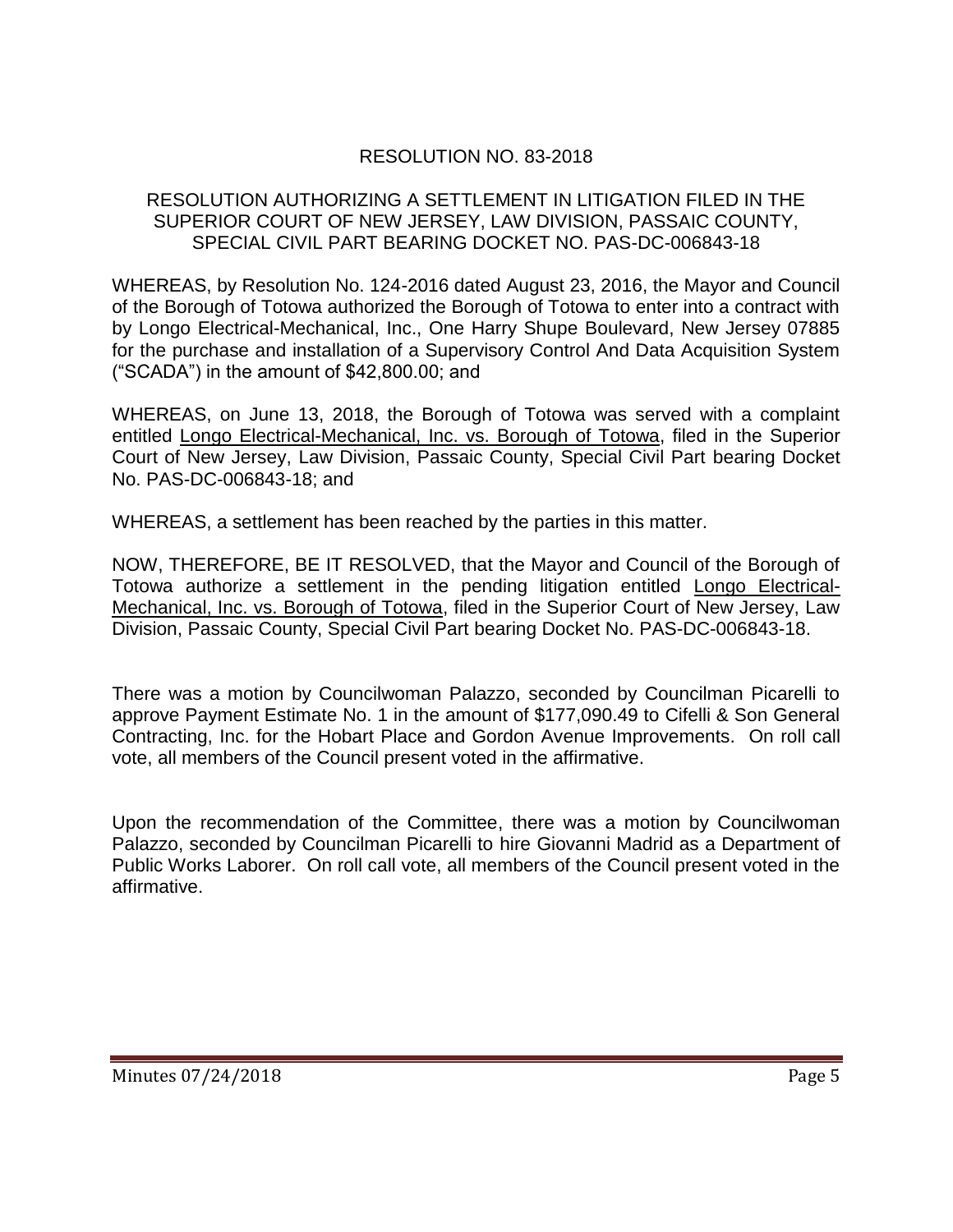# RESOLUTION NO. 83-2018

### RESOLUTION AUTHORIZING A SETTLEMENT IN LITIGATION FILED IN THE SUPERIOR COURT OF NEW JERSEY, LAW DIVISION, PASSAIC COUNTY, SPECIAL CIVIL PART BEARING DOCKET NO. PAS-DC-006843-18

WHEREAS, by Resolution No. 124-2016 dated August 23, 2016, the Mayor and Council of the Borough of Totowa authorized the Borough of Totowa to enter into a contract with by Longo Electrical-Mechanical, Inc., One Harry Shupe Boulevard, New Jersey 07885 for the purchase and installation of a Supervisory Control And Data Acquisition System ("SCADA") in the amount of \$42,800.00; and

WHEREAS, on June 13, 2018, the Borough of Totowa was served with a complaint entitled Longo Electrical-Mechanical, Inc. vs. Borough of Totowa, filed in the Superior Court of New Jersey, Law Division, Passaic County, Special Civil Part bearing Docket No. PAS-DC-006843-18; and

WHEREAS, a settlement has been reached by the parties in this matter.

NOW, THEREFORE, BE IT RESOLVED, that the Mayor and Council of the Borough of Totowa authorize a settlement in the pending litigation entitled Longo Electrical-Mechanical, Inc. vs. Borough of Totowa, filed in the Superior Court of New Jersey, Law Division, Passaic County, Special Civil Part bearing Docket No. PAS-DC-006843-18.

There was a motion by Councilwoman Palazzo, seconded by Councilman Picarelli to approve Payment Estimate No. 1 in the amount of \$177,090.49 to Cifelli & Son General Contracting, Inc. for the Hobart Place and Gordon Avenue Improvements. On roll call vote, all members of the Council present voted in the affirmative.

Upon the recommendation of the Committee, there was a motion by Councilwoman Palazzo, seconded by Councilman Picarelli to hire Giovanni Madrid as a Department of Public Works Laborer. On roll call vote, all members of the Council present voted in the affirmative.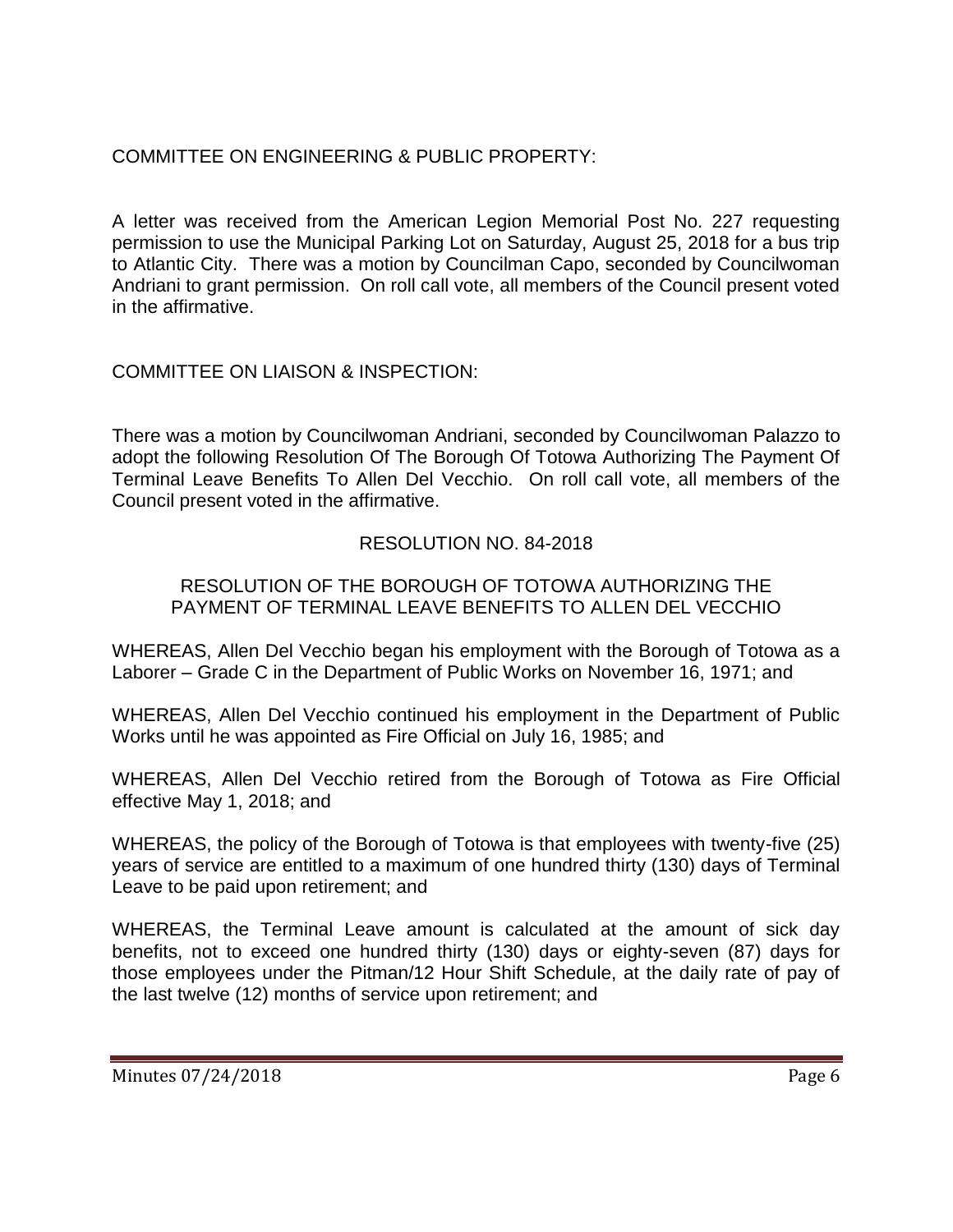# COMMITTEE ON ENGINEERING & PUBLIC PROPERTY:

A letter was received from the American Legion Memorial Post No. 227 requesting permission to use the Municipal Parking Lot on Saturday, August 25, 2018 for a bus trip to Atlantic City. There was a motion by Councilman Capo, seconded by Councilwoman Andriani to grant permission. On roll call vote, all members of the Council present voted in the affirmative.

# COMMITTEE ON LIAISON & INSPECTION:

There was a motion by Councilwoman Andriani, seconded by Councilwoman Palazzo to adopt the following Resolution Of The Borough Of Totowa Authorizing The Payment Of Terminal Leave Benefits To Allen Del Vecchio. On roll call vote, all members of the Council present voted in the affirmative.

# RESOLUTION NO. 84-2018

## RESOLUTION OF THE BOROUGH OF TOTOWA AUTHORIZING THE PAYMENT OF TERMINAL LEAVE BENEFITS TO ALLEN DEL VECCHIO

WHEREAS, Allen Del Vecchio began his employment with the Borough of Totowa as a Laborer – Grade C in the Department of Public Works on November 16, 1971; and

WHEREAS, Allen Del Vecchio continued his employment in the Department of Public Works until he was appointed as Fire Official on July 16, 1985; and

WHEREAS, Allen Del Vecchio retired from the Borough of Totowa as Fire Official effective May 1, 2018; and

WHEREAS, the policy of the Borough of Totowa is that employees with twenty-five (25) years of service are entitled to a maximum of one hundred thirty (130) days of Terminal Leave to be paid upon retirement; and

WHEREAS, the Terminal Leave amount is calculated at the amount of sick day benefits, not to exceed one hundred thirty (130) days or eighty-seven (87) days for those employees under the Pitman/12 Hour Shift Schedule, at the daily rate of pay of the last twelve (12) months of service upon retirement; and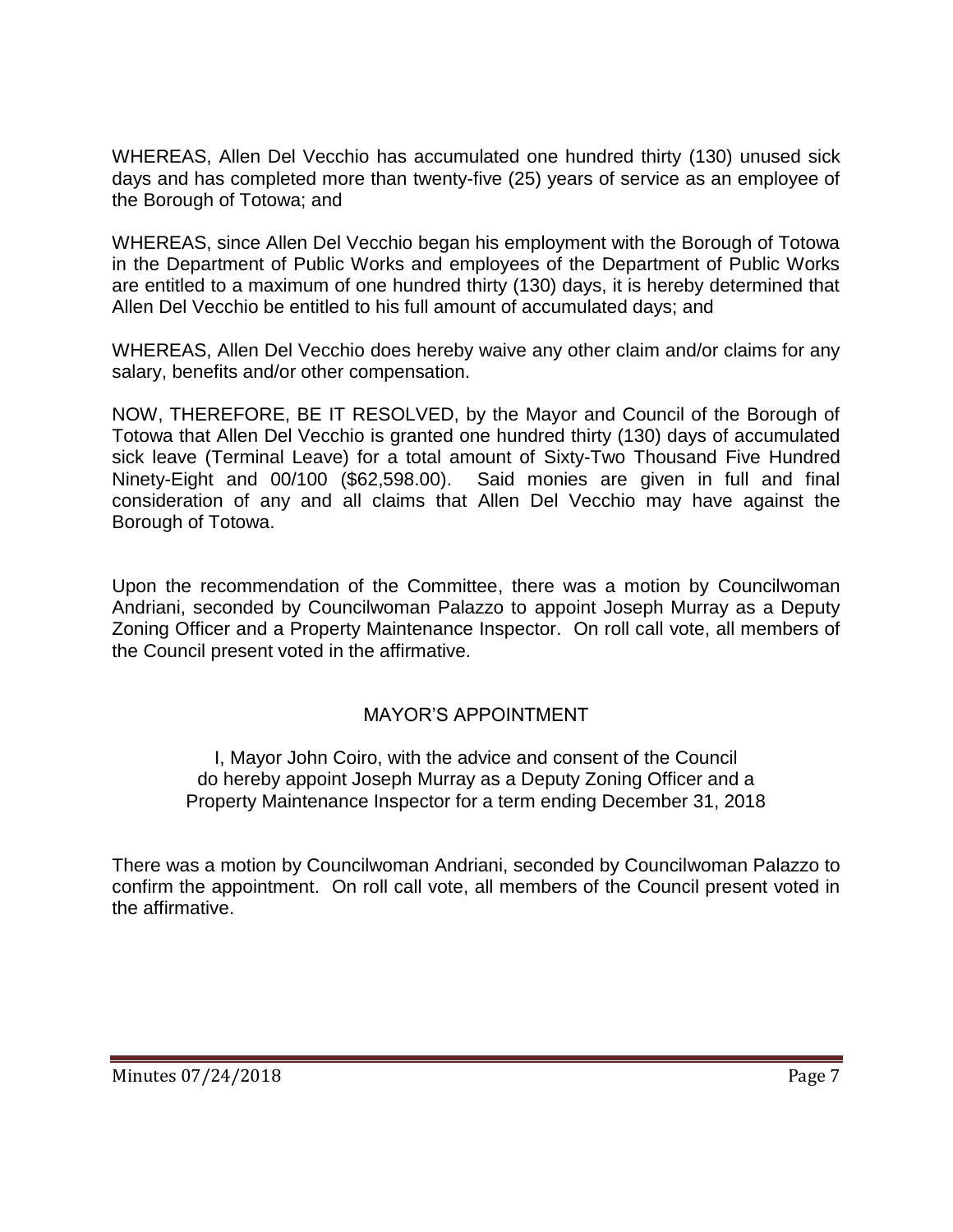WHEREAS, Allen Del Vecchio has accumulated one hundred thirty (130) unused sick days and has completed more than twenty-five (25) years of service as an employee of the Borough of Totowa; and

WHEREAS, since Allen Del Vecchio began his employment with the Borough of Totowa in the Department of Public Works and employees of the Department of Public Works are entitled to a maximum of one hundred thirty (130) days, it is hereby determined that Allen Del Vecchio be entitled to his full amount of accumulated days; and

WHEREAS, Allen Del Vecchio does hereby waive any other claim and/or claims for any salary, benefits and/or other compensation.

NOW, THEREFORE, BE IT RESOLVED, by the Mayor and Council of the Borough of Totowa that Allen Del Vecchio is granted one hundred thirty (130) days of accumulated sick leave (Terminal Leave) for a total amount of Sixty-Two Thousand Five Hundred Ninety-Eight and 00/100 (\$62,598.00). Said monies are given in full and final consideration of any and all claims that Allen Del Vecchio may have against the Borough of Totowa.

Upon the recommendation of the Committee, there was a motion by Councilwoman Andriani, seconded by Councilwoman Palazzo to appoint Joseph Murray as a Deputy Zoning Officer and a Property Maintenance Inspector. On roll call vote, all members of the Council present voted in the affirmative.

# MAYOR'S APPOINTMENT

I, Mayor John Coiro, with the advice and consent of the Council do hereby appoint Joseph Murray as a Deputy Zoning Officer and a Property Maintenance Inspector for a term ending December 31, 2018

There was a motion by Councilwoman Andriani, seconded by Councilwoman Palazzo to confirm the appointment. On roll call vote, all members of the Council present voted in the affirmative.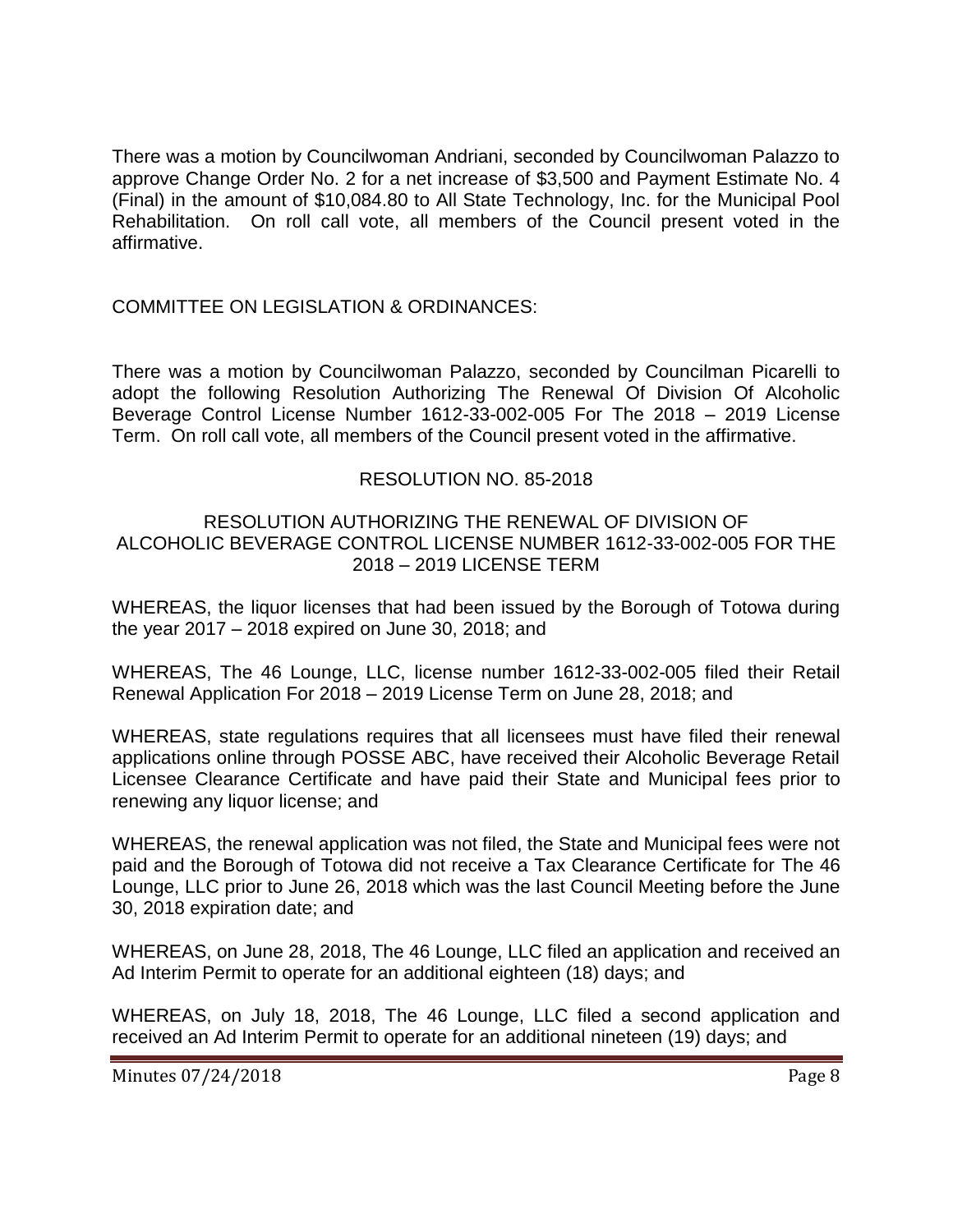There was a motion by Councilwoman Andriani, seconded by Councilwoman Palazzo to approve Change Order No. 2 for a net increase of \$3,500 and Payment Estimate No. 4 (Final) in the amount of \$10,084.80 to All State Technology, Inc. for the Municipal Pool Rehabilitation. On roll call vote, all members of the Council present voted in the affirmative.

## COMMITTEE ON LEGISLATION & ORDINANCES:

There was a motion by Councilwoman Palazzo, seconded by Councilman Picarelli to adopt the following Resolution Authorizing The Renewal Of Division Of Alcoholic Beverage Control License Number 1612-33-002-005 For The 2018 – 2019 License Term. On roll call vote, all members of the Council present voted in the affirmative.

## RESOLUTION NO. 85-2018

### RESOLUTION AUTHORIZING THE RENEWAL OF DIVISION OF ALCOHOLIC BEVERAGE CONTROL LICENSE NUMBER 1612-33-002-005 FOR THE 2018 – 2019 LICENSE TERM

WHEREAS, the liquor licenses that had been issued by the Borough of Totowa during the year 2017 – 2018 expired on June 30, 2018; and

WHEREAS, The 46 Lounge, LLC, license number 1612-33-002-005 filed their Retail Renewal Application For 2018 – 2019 License Term on June 28, 2018; and

WHEREAS, state regulations requires that all licensees must have filed their renewal applications online through POSSE ABC, have received their Alcoholic Beverage Retail Licensee Clearance Certificate and have paid their State and Municipal fees prior to renewing any liquor license; and

WHEREAS, the renewal application was not filed, the State and Municipal fees were not paid and the Borough of Totowa did not receive a Tax Clearance Certificate for The 46 Lounge, LLC prior to June 26, 2018 which was the last Council Meeting before the June 30, 2018 expiration date; and

WHEREAS, on June 28, 2018, The 46 Lounge, LLC filed an application and received an Ad Interim Permit to operate for an additional eighteen (18) days; and

WHEREAS, on July 18, 2018, The 46 Lounge, LLC filed a second application and received an Ad Interim Permit to operate for an additional nineteen (19) days; and